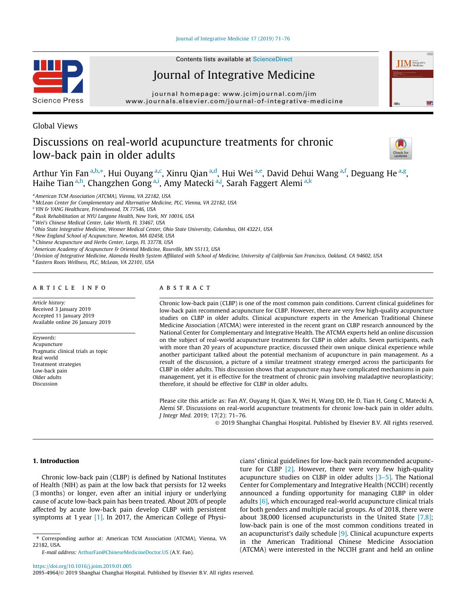#### [Journal of Integrative Medicine 17 \(2019\) 71–76](https://doi.org/10.1016/j.joim.2019.01.005)



Contents lists available at [ScienceDirect](http://www.sciencedirect.com/science/journal/20954964)

# Journal of Integrative Medicine

journal homepage: [www.jcimjournal.com/jim](http://www.jcimjournal.com/jim) [www.journals.elsevier.com/journal-of-integrative-medicine](http://www.journals.elsevier.com/journal-of-integrative-medicine)

Global Views

# Discussions on real-world acupuncture treatments for chronic low-back pain in older adults



**IIM** Integrative

Arthur Yin Fan<sup>a,b,\*</sup>, Hui Ouyang<sup>a,c</sup>, Xinru Qian<sup>a,d</sup>, Hui Wei<sup>a,e</sup>, David Dehui Wang<sup>a,f</sup>, Deguang He<sup>a,g</sup>, Haihe Tian <sup>a,h</sup>, Changzhen Gong <sup>a,i</sup>, Amy Matecki <sup>a,j</sup>, Sarah Faggert Alemi <sup>a,k</sup>

<sup>a</sup> American TCM Association (ATCMA), Vienna, VA 22182, USA

<sup>c</sup> YIN & YANG Healthcare, Friendswood, TX 77546, USA

h Chinese Acupuncture and Herbs Center, Largo, FL 33778, USA

 $^{\rm i}$ American Academy of Acupuncture & Oriental Medicine, Roseville, MN 55113, USA

<sup>i</sup> Division of Integrative Medicine, Alameda Health System Affiliated with School of Medicine, University of California San Francisco, Oakland, CA 94602, USA

<sup>k</sup> Eastern Roots Wellness, PLC, McLean, VA 22101, USA

## article info

Article history: Received 3 January 2019 Accepted 11 January 2019 Available online 26 January 2019

Keywords: Acupuncture Pragmatic clinical trials as topic Real world Treatment strategies Low-back pain Older adults Discussion

# ABSTRACT

Chronic low-back pain (CLBP) is one of the most common pain conditions. Current clinical guidelines for low-back pain recommend acupuncture for CLBP. However, there are very few high-quality acupuncture studies on CLBP in older adults. Clinical acupuncture experts in the American Traditional Chinese Medicine Association (ATCMA) were interested in the recent grant on CLBP research announced by the National Center for Complementary and Integrative Health. The ATCMA experts held an online discussion on the subject of real-world acupuncture treatments for CLBP in older adults. Seven participants, each with more than 20 years of acupuncture practice, discussed their own unique clinical experience while another participant talked about the potential mechanism of acupuncture in pain management. As a result of the discussion, a picture of a similar treatment strategy emerged across the participants for CLBP in older adults. This discussion shows that acupuncture may have complicated mechanisms in pain management, yet it is effective for the treatment of chronic pain involving maladaptive neuroplasticity; therefore, it should be effective for CLBP in older adults.

Please cite this article as: Fan AY, Ouyang H, Qian X, Wei H, Wang DD, He D, Tian H, Gong C, Matecki A, Alemi SF. Discussions on real-world acupuncture treatments for chronic low-back pain in older adults. J Integr Med. 2019; 17(2): 71–76.

2019 Shanghai Changhai Hospital. Published by Elsevier B.V. All rights reserved.

# 1. Introduction

Chronic low-back pain (CLBP) is defined by National Institutes of Health (NIH) as pain at the low back that persists for 12 weeks (3 months) or longer, even after an initial injury or underlying cause of acute low-back pain has been treated. About 20% of people affected by acute low-back pain develop CLBP with persistent symptoms at 1 year [\[1\]](#page-4-0). In 2017, the American College of Physi-

E-mail address: [ArthurFan@ChineseMedicineDoctor.US](mailto:ArthurFan@ChineseMedicineDoctor.US) (A.Y. Fan).

cians' clinical guidelines for low-back pain recommended acupuncture for CLBP  $[2]$ . However, there were very few high-quality acupuncture studies on CLBP in older adults  $[3-5]$ . The National Center for Complementary and Integrative Health (NCCIH) recently announced a funding opportunity for managing CLBP in older adults [\[6\],](#page-4-0) which encouraged real-world acupuncture clinical trials for both genders and multiple racial groups. As of 2018, there were about 38,000 licensed acupuncturists in the United State [\[7,8\];](#page-4-0) low-back pain is one of the most common conditions treated in an acupuncturist's daily schedule [\[9\]](#page-4-0). Clinical acupuncture experts in the American Traditional Chinese Medicine Association (ATCMA) were interested in the NCCIH grant and held an online

<https://doi.org/10.1016/j.joim.2019.01.005>

<sup>b</sup> McLean Center for Complementary and Alternative Medicine, PLC, Vienna, VA 22182, USA

<sup>d</sup> Rusk Rehabilitation at NYU Langone Health, New York, NY 10016, USA

e Wei's Chinese Medical Center, Lake Worth, FL 33467, USA

<sup>&</sup>lt;sup>f</sup> Ohio State Integrative Medicine, Wexner Medical Center, Ohio State University, Columbus, OH 43221, USA

<sup>&</sup>lt;sup>g</sup> New England School of Acupuncture, Newton, MA 02458, USA

<sup>⇑</sup> Corresponding author at: American TCM Association (ATCMA), Vienna, VA 22182, USA.

<sup>2095-4964/© 2019</sup> Shanghai Changhai Hospital. Published by Elsevier B.V. All rights reserved.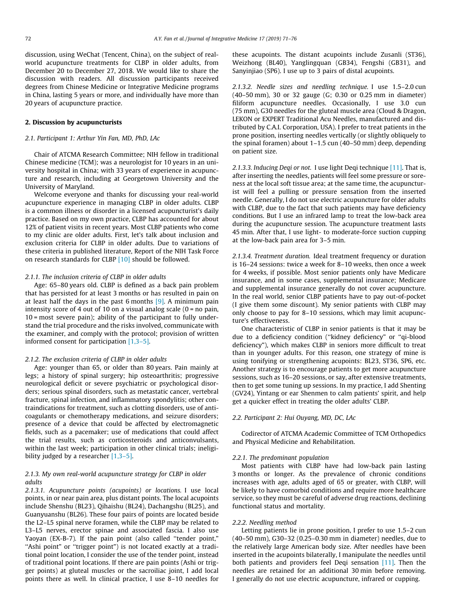discussion, using WeChat (Tencent, China), on the subject of realworld acupuncture treatments for CLBP in older adults, from December 20 to December 27, 2018. We would like to share the discussion with readers. All discussion participants received degrees from Chinese Medicine or Integrative Medicine programs in China, lasting 5 years or more, and individually have more than 20 years of acupuncture practice.

## 2. Discussion by acupuncturists

#### 2.1. Participant 1: Arthur Yin Fan, MD, PhD, LAc

Chair of ATCMA Research Committee; NIH fellow in traditional Chinese medicine (TCM); was a neurologist for 10 years in an university hospital in China; with 33 years of experience in acupuncture and research, including at Georgetown University and the University of Maryland.

Welcome everyone and thanks for discussing your real-world acupuncture experience in managing CLBP in older adults. CLBP is a common illness or disorder in a licensed acupuncturist's daily practice. Based on my own practice, CLBP has accounted for about 12% of patient visits in recent years. Most CLBP patients who come to my clinic are older adults. First, let's talk about inclusion and exclusion criteria for CLBP in older adults. Due to variations of these criteria in published literature, Report of the NIH Task Force on research standards for CLBP [\[10\]](#page-4-0) should be followed.

### 2.1.1. The inclusion criteria of CLBP in older adults

Age: 65–80 years old. CLBP is defined as a back pain problem that has persisted for at least 3 months or has resulted in pain on at least half the days in the past 6 months  $[9]$ . A minimum pain intensity score of 4 out of 10 on a visual analog scale  $(0 = no \,\text{pain}, \,$ 10 = most severe pain); ability of the participant to fully understand the trial procedure and the risks involved, communicate with the examiner, and comply with the protocol; provision of written informed consent for participation [\[1,3–5\]](#page-4-0).

# 2.1.2. The exclusion criteria of CLBP in older adults

Age: younger than 65, or older than 80 years. Pain mainly at legs; a history of spinal surgery; hip osteoarthritis; progressive neurological deficit or severe psychiatric or psychological disorders; serious spinal disorders, such as metastatic cancer, vertebral fracture, spinal infection, and inflammatory spondylitis; other contraindications for treatment, such as clotting disorders, use of anticoagulants or chemotherapy medications, and seizure disorders; presence of a device that could be affected by electromagnetic fields, such as a pacemaker; use of medications that could affect the trial results, such as corticosteroids and anticonvulsants, within the last week; participation in other clinical trials; ineligi-bility judged by a researcher [\[1,3–5\]](#page-4-0).

# 2.1.3. My own real-world acupuncture strategy for CLBP in older adults

2.1.3.1. Acupuncture points (acupoints) or locations. I use local points, in or near pain area, plus distant points. The local acupoints include Shenshu (BL23), Qihaishu (BL24), Dachangshu (BL25), and Guanyuanshu (BL26). These four pairs of points are located beside the L2–L5 spinal nerve foramen, while the CLBP may be related to L3–L5 nerves, erector spinae and associated fascia. I also use Yaoyan (EX-B-7). If the pain point (also called "tender point," "Ashi point" or "trigger point") is not located exactly at a traditional point location, I consider the use of the tender point, instead of traditional point locations. If there are pain points (Ashi or trigger points) at gluteal muscles or the sacroiliac joint, I add local points there as well. In clinical practice, I use 8–10 needles for these acupoints. The distant acupoints include Zusanli (ST36), Weizhong (BL40), Yanglingquan (GB34), Fengshi (GB31), and Sanyinjiao (SP6). I use up to 3 pairs of distal acupoints.

2.1.3.2. Needle sizes and needling technique. I use 1.5–2.0 cun (40–50 mm), 30 or 32 gauge (G; 0.30 or 0.25 mm in diameter) filiform acupuncture needles. Occasionally, I use 3.0 cun (75 mm), G30 needles for the gluteal muscle area (Cloud & Dragon, LEKON or EXPERT Traditional Acu Needles, manufactured and distributed by C.A.I. Corporation, USA). I prefer to treat patients in the prone position, inserting needles vertically (or slightly obliquely to the spinal foramen) about 1–1.5 cun (40–50 mm) deep, depending on patient size.

2.1.3.3. Inducing Deqi or not. I use light Deqi technique [\[11\].](#page-5-0) That is, after inserting the needles, patients will feel some pressure or soreness at the local soft tissue area; at the same time, the acupuncturist will feel a pulling or pressure sensation from the inserted needle. Generally, I do not use electric acupuncture for older adults with CLBP, due to the fact that such patients may have deficiency conditions. But I use an infrared lamp to treat the low-back area during the acupuncture session. The acupuncture treatment lasts 45 min. After that, I use light- to moderate-force suction cupping at the low-back pain area for 3–5 min.

2.1.3.4. Treatment duration. Ideal treatment frequency or duration is 16–24 sessions: twice a week for 8–10 weeks, then once a week for 4 weeks, if possible. Most senior patients only have Medicare insurance, and in some cases, supplemental insurance; Medicare and supplemental insurance generally do not cover acupuncture. In the real world, senior CLBP patients have to pay out-of-pocket (I give them some discount). My senior patients with CLBP may only choose to pay for 8–10 sessions, which may limit acupuncture's effectiveness.

One characteristic of CLBP in senior patients is that it may be due to a deficiency condition (''kidney deficiency" or ''qi-blood deficiency"), which makes CLBP in seniors more difficult to treat than in younger adults. For this reason, one strategy of mine is using tonifying or strengthening acupoints: BL23, ST36, SP6, etc. Another strategy is to encourage patients to get more acupuncture sessions, such as 16–20 sessions, or say, after extensive treatments, then to get some tuning up sessions. In my practice, I add Shenting (GV24), Yintang or ear Shenmen to calm patients' spirit, and help get a quicker effect in treating the older adults' CLBP.

## 2.2. Participant 2: Hui Ouyang, MD, DC, LAc

Codirector of ATCMA Academic Committee of TCM Orthopedics and Physical Medicine and Rehabilitation.

#### 2.2.1. The predominant population

Most patients with CLBP have had low-back pain lasting 3 months or longer. As the prevalence of chronic conditions increases with age, adults aged of 65 or greater, with CLBP, will be likely to have comorbid conditions and require more healthcare service, so they must be careful of adverse drug reactions, declining functional status and mortality.

## 2.2.2. Needling method

Letting patients lie in prone position, I prefer to use 1.5–2 cun (40–50 mm), G30–32 (0.25–0.30 mm in diameter) needles, due to the relatively large American body size. After needles have been inserted in the acupoints bilaterally, I manipulate the needles until both patients and providers feel Deqi sensation [\[11\]](#page-5-0). Then the needles are retained for an additional 30 min before removing. I generally do not use electric acupuncture, infrared or cupping.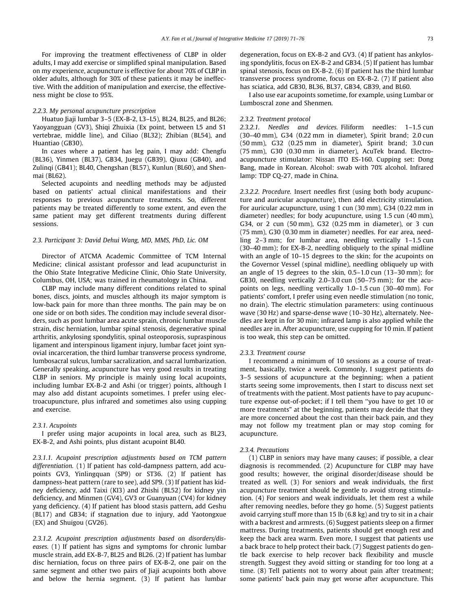For improving the treatment effectiveness of CLBP in older adults, I may add exercise or simplified spinal manipulation. Based on my experience, acupuncture is effective for about 70% of CLBP in older adults, although for 30% of these patients it may be ineffective. With the addition of manipulation and exercise, the effectiveness might be close to 95%.

### 2.2.3. My personal acupuncture prescription

Huatuo Jiaji lumbar 3–5 (EX-B-2, L3–L5), BL24, BL25, and BL26; Yaoyangguan (GV3), Shiqi Zhuixia (Ex point, between L5 and S1 vertebrae, middle line), and Ciliao (BL32); Zhibian (BL54), and Huantiao (GB30).

In cases where a patient has leg pain, I may add: Chengfu (BL36), Yinmen (BL37), GB34, Juegu (GB39), Qiuxu (GB40), and Zulinqi (GB41); BL40, Chengshan (BL57), Kunlun (BL60), and Shenmai (BL62).

Selected acupoints and needling methods may be adjusted based on patients' actual clinical manifestations and their responses to previous acupuncture treatments. So, different patients may be treated differently to some extent, and even the same patient may get different treatments during different sessions.

## 2.3. Participant 3: David Dehui Wang, MD, MMS, PhD, Lic. OM

Director of ATCMA Academic Committee of TCM Internal Medicine; clinical assistant professor and lead acupuncturist in the Ohio State Integrative Medicine Clinic, Ohio State University, Columbus, OH, USA; was trained in rheumatology in China.

CLBP may include many different conditions related to spinal bones, discs, joints, and muscles although its major symptom is low-back pain for more than three months. The pain may be on one side or on both sides. The condition may include several disorders, such as post lumbar area acute sprain, chronic lumbar muscle strain, disc herniation, lumbar spinal stenosis, degenerative spinal arthritis, ankylosing spondylitis, spinal osteoporosis, supraspinous ligament and interspinous ligament injury, lumbar facet joint synovial incarceration, the third lumbar transverse process syndrome, lumbosacral sulcus, lumbar sacralization, and sacral lumbarization. Generally speaking, acupuncture has very good results in treating CLBP in seniors. My principle is mainly using local acupoints, including lumbar EX-B-2 and Ashi (or trigger) points, although I may also add distant acupoints sometimes. I prefer using electroacupuncture, plus infrared and sometimes also using cupping and exercise.

#### 2.3.1. Acupoints

I prefer using major acupoints in local area, such as BL23, EX-B-2, and Ashi points, plus distant acupoint BL40.

2.3.1.1. Acupoint prescription adjustments based on TCM pattern differentiation. (1) If patient has cold-dampness pattern, add acupoints GV3, Yinlingquan (SP9) or ST36. (2) If patient has dampness-heat pattern (rare to see), add SP9. (3) If patient has kidney deficiency, add Taixi (KI3) and Zhishi (BL52) for kidney yin deficiency, and Minmen (GV4), GV3 or Guanyuan (CV4) for kidney yang deficiency. (4) If patient has blood stasis pattern, add Geshu (BL17) and GB34; if stagnation due to injury, add Yaotongxue (EX) and Shuigou (GV26).

2.3.1.2. Acupoint prescription adjustments based on disorders/diseases. (1) If patient has signs and symptoms for chronic lumbar muscle strain, add EX-B-7, BL25 and BL26. (2) If patient has lumbar disc herniation, focus on three pairs of EX-B-2, one pair on the same segment and other two pairs of Jiaji acupoints both above and below the hernia segment. (3) If patient has lumbar

degeneration, focus on EX-B-2 and GV3. (4) If patient has ankylosing spondylitis, focus on EX-B-2 and GB34. (5) If patient has lumbar spinal stenosis, focus on EX-B-2. (6) If patient has the third lumbar transverse process syndrome, focus on EX-B-2. (7) If patient also has sciatica, add GB30, BL36, BL37, GB34, GB39, and BL60.

I also use ear acupoints sometime, for example, using Lumbar or Lumboscral zone and Shenmen.

#### 2.3.2. Treatment protocol

2.3.2.1. Needles and devices. Filiform needles: 1–1.5 cun (30–40 mm), G34 (0.22 mm in diameter), Spirit brand; 2.0 cun (50 mm), G32 (0.25 mm in diameter), Spirit brand; 3.0 cun (75 mm), G30 (0.30 mm in diameter), AcuTek brand. Electroacupuncture stimulator: Nissan ITO ES-160. Cupping set: Dong Bang, made in Korean. Alcohol: swab with 70% alcohol. Infrared lamp: TDP CQ-27, made in China.

2.3.2.2. Procedure. Insert needles first (using both body acupuncture and auricular acupuncture), then add electricity stimulation. For auricular acupuncture, using 1 cun (30 mm), G34 (0.22 mm in diameter) needles; for body acupuncture, using 1.5 cun (40 mm), G34, or 2 cun (50 mm), G32 (0.25 mm in diameter), or 3 cun (75 mm), G30 (0.30 mm in diameter) needles. For ear area, needling 2–3 mm; for lumbar area, needling vertically 1–1.5 cun (30–40 mm); for EX-B-2, needling obliquely to the spinal midline with an angle of 10–15 degrees to the skin; for the acupoints on the Governor Vessel (spinal midline), needling obliquely up with an angle of 15 degrees to the skin, 0.5–1.0 cun (13–30 mm); for GB30, needling vertically 2.0–3.0 cun (50–75 mm); for the acupoints on legs, needling vertically 1.0–1.5 cun (30–40 mm). For patients' comfort, I prefer using even needle stimulation (no tonic, no drain). The electric stimulation parameters: using continuous wave (30 Hz) and sparse-dense wave (10–30 Hz), alternately. Needles are kept in for 30 min; infrared lamp is also applied while the needles are in. After acupuncture, use cupping for 10 min. If patient is too weak, this step can be omitted.

#### 2.3.3. Treatment course

I recommend a minimum of 10 sessions as a course of treatment, basically, twice a week. Commonly, I suggest patients do 3–5 sessions of acupuncture at the beginning; when a patient starts seeing some improvements, then I start to discuss next set of treatments with the patient. Most patients have to pay acupuncture expense out-of-pocket; if I tell them ''you have to get 10 or more treatments" at the beginning, patients may decide that they are more concerned about the cost than their back pain, and they may not follow my treatment plan or may stop coming for acupuncture.

#### 2.3.4. Precautions

(1) CLBP in seniors may have many causes; if possible, a clear diagnosis is recommended. (2) Acupuncture for CLBP may have good results; however, the original disorder/disease should be treated as well. (3) For seniors and weak individuals, the first acupuncture treatment should be gentle to avoid strong stimulation. (4) For seniors and weak individuals, let them rest a while after removing needles, before they go home. (5) Suggest patients avoid carrying stuff more than 15 lb (6.8 kg) and try to sit in a chair with a backrest and armrests. (6) Suggest patients sleep on a firmer mattress. During treatments, patients should get enough rest and keep the back area warm. Even more, I suggest that patients use a back brace to help protect their back. (7) Suggest patients do gentle back exercise to help recover back flexibility and muscle strength. Suggest they avoid sitting or standing for too long at a time. (8) Tell patients not to worry about pain after treatment; some patients' back pain may get worse after acupuncture. This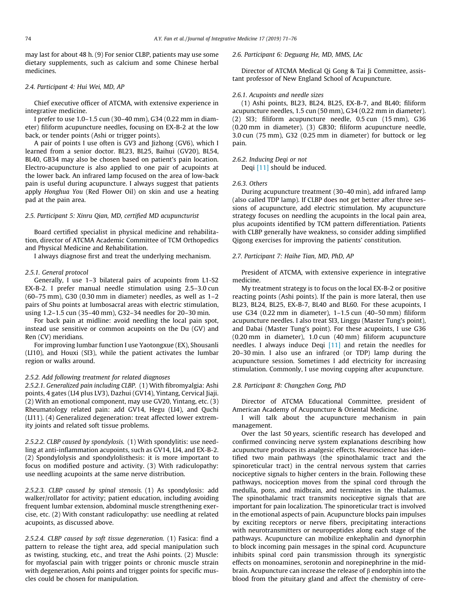may last for about 48 h. (9) For senior CLBP, patients may use some dietary supplements, such as calcium and some Chinese herbal medicines.

## 2.4. Participant 4: Hui Wei, MD, AP

Chief executive officer of ATCMA, with extensive experience in integrative medicine.

I prefer to use 1.0–1.5 cun (30–40 mm), G34 (0.22 mm in diameter) filiform acupuncture needles, focusing on EX-B-2 at the low back, or tender points (Ashi or trigger points).

A pair of points I use often is GV3 and Jizhong (GV6), which I learned from a senior doctor. BL23, BL25, Baihui (GV20), BL54, BL40, GB34 may also be chosen based on patient's pain location. Electro-acupuncture is also applied to one pair of acupoints at the lower back. An infrared lamp focused on the area of low-back pain is useful during acupuncture. I always suggest that patients apply Honghua You (Red Flower Oil) on skin and use a heating pad at the pain area.

# 2.5. Participant 5: Xinru Qian, MD, certified MD acupuncturist

Board certified specialist in physical medicine and rehabilitation, director of ATCMA Academic Committee of TCM Orthopedics and Physical Medicine and Rehabilitation.

I always diagnose first and treat the underlying mechanism.

## 2.5.1. General protocol

Generally, I use 1–3 bilateral pairs of acupoints from L1-S2 EX-B-2. I prefer manual needle stimulation using 2.5–3.0 cun (60–75 mm), G30 (0.30 mm in diameter) needles, as well as 1–2 pairs of Shu points at lumbosacral areas with electric stimulation, using 1.2–1.5 cun (35–40 mm), G32–34 needles for 20–30 min.

For back pain at midline: avoid needling the local pain spot, instead use sensitive or common acupoints on the Du (GV) and Ren (CV) meridians.

For improving lumbar function I use Yaotongxue (EX), Shousanli (LI10), and Houxi (SI3), while the patient activates the lumbar region or walks around.

## 2.5.2. Add following treatment for related diagnoses

2.5.2.1. Generalized pain including CLBP. (1) With fibromyalgia: Ashi points, 4 gates (LI4 plus LV3), Dazhui (GV14), Yintang, Cervical Jiaji. (2) With an emotional component, may use GV20, Yintang, etc. (3) Rheumatology related pain: add GV14, Hegu (LI4), and Quchi (LI11). (4) Generalized degeneration: treat affected lower extremity joints and related soft tissue problems.

2.5.2.2. CLBP caused by spondylosis. (1) With spondylitis: use needling at anti-inflammation acupoints, such as GV14, LI4, and EX-B-2. (2) Spondylolysis and spondylolisthesis: it is more important to focus on modified posture and activity. (3) With radiculopathy: use needling acupoints at the same nerve distribution.

2.5.2.3. CLBP caused by spinal stenosis. (1) As spondylosis: add walker/rollator for activity; patient education, including avoiding frequent lumbar extension, abdominal muscle strengthening exercise, etc. (2) With constant radiculopathy: use needling at related acupoints, as discussed above.

2.5.2.4. CLBP caused by soft tissue degeneration. (1) Fasica: find a pattern to release the tight area, add special manipulation such as twisting, stucking, etc., and treat the Ashi points. (2) Muscle: for myofascial pain with trigger points or chronic muscle strain with degeneration, Ashi points and trigger points for specific muscles could be chosen for manipulation.

#### 2.6. Participant 6: Deguang He, MD, MMS, LAc

Director of ATCMA Medical Qi Gong & Tai Ji Committee, assistant professor of New England School of Acupuncture.

### 2.6.1. Acupoints and needle sizes

(1) Ashi points, BL23, BL24, BL25, EX-B-7, and BL40; filiform acupuncture needles, 1.5 cun (50 mm), G34 (0.22 mm in diameter). (2) SI3; filiform acupuncture needle, 0.5 cun (15 mm), G36 (0.20 mm in diameter). (3) GB30; filiform acupuncture needle, 3.0 cun (75 mm), G32 (0.25 mm in diameter) for buttock or leg pain.

## 2.6.2. Inducing Deqi or not

Deqi [\[11\]](#page-5-0) should be induced.

#### 2.6.3. Others

During acupuncture treatment (30–40 min), add infrared lamp (also called TDP lamp). If CLBP does not get better after three sessions of acupuncture, add electric stimulation. My acupuncture strategy focuses on needling the acupoints in the local pain area, plus acupoints identified by TCM pattern differentiation. Patients with CLBP generally have weakness, so consider adding simplified Qigong exercises for improving the patients' constitution.

## 2.7. Participant 7: Haihe Tian, MD, PhD, AP

President of ATCMA, with extensive experience in integrative medicine.

My treatment strategy is to focus on the local EX-B-2 or positive reacting points (Ashi points). If the pain is more lateral, then use BL23, BL24, BL25, EX-B-7, BL40 and BL60. For these acupoints, I use G34 (0.22 mm in diameter), 1–1.5 cun (40–50 mm) filiform acupuncture needles. I also treat SI3, Linggu (Master Tung's point), and Dabai (Master Tung's point). For these acupoints, I use G36 (0.20 mm in diameter), 1.0 cun (40 mm) filiform acupuncture needles. I always induce Deqi [\[11\]](#page-5-0) and retain the needles for 20–30 min. I also use an infrared (or TDP) lamp during the acupuncture session. Sometimes I add electricity for increasing stimulation. Commonly, I use moving cupping after acupuncture.

# 2.8. Participant 8: Changzhen Gong, PhD

Director of ATCMA Educational Committee, president of American Academy of Acupuncture & Oriental Medicine.

I will talk about the acupuncture mechanism in pain management.

Over the last 50 years, scientific research has developed and confirmed convincing nerve system explanations describing how acupuncture produces its analgesic effects. Neuroscience has identified two main pathways (the spinothalamic tract and the spinoreticular tract) in the central nervous system that carries nociceptive signals to higher centers in the brain. Following these pathways, nociception moves from the spinal cord through the medulla, pons, and midbrain, and terminates in the thalamus. The spinothalamic tract transmits nociceptive signals that are important for pain localization. The spinoreticular tract is involved in the emotional aspects of pain. Acupuncture blocks pain impulses by exciting receptors or nerve fibers, precipitating interactions with neurotransmitters or neuropeptides along each stage of the pathways. Acupuncture can mobilize enkephalin and dynorphin to block incoming pain messages in the spinal cord. Acupuncture inhibits spinal cord pain transmission through its synergistic effects on monoamines, serotonin and norepinephrine in the midbrain. Acupuncture can increase the release of  $\beta$  endorphin into the blood from the pituitary gland and affect the chemistry of cere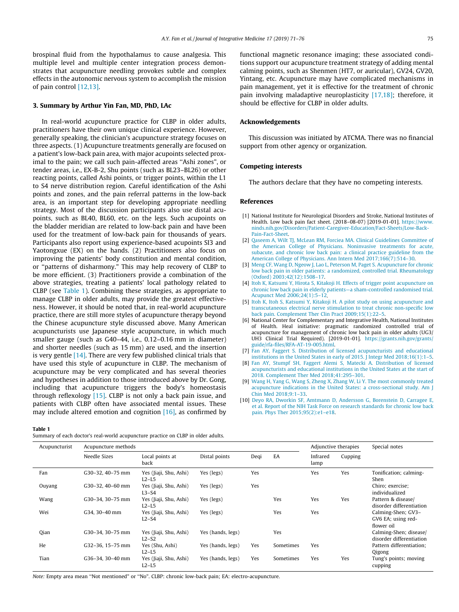<span id="page-4-0"></span>brospinal fluid from the hypothalamus to cause analgesia. This multiple level and multiple center integration process demonstrates that acupuncture needling provokes subtle and complex effects in the autonomic nervous system to accomplish the mission of pain control [\[12,13\]](#page-5-0).

#### 3. Summary by Arthur Yin Fan, MD, PhD, LAc

In real-world acupuncture practice for CLBP in older adults, practitioners have their own unique clinical experience. However, generally speaking, the clinician's acupuncture strategy focuses on three aspects. (1) Acupuncture treatments generally are focused on a patient's low-back pain area, with major acupoints selected proximal to the pain; we call such pain-affected areas ''Ashi zones", or tender areas, i.e., EX-B-2, Shu points (such as BL23–BL26) or other reacting points, called Ashi points, or trigger points, within the L1 to S4 nerve distribution region. Careful identification of the Ashi points and zones, and the pain referral patterns in the low-back area, is an important step for developing appropriate needling strategy. Most of the discussion participants also use distal acupoints, such as BL40, BL60, etc. on the legs. Such acupoints on the bladder meridian are related to low-back pain and have been used for the treatment of low-back pain for thousands of years. Participants also report using experience-based acupoints SI3 and Yaotongxue (EX) on the hands. (2) Practitioners also focus on improving the patients' body constitution and mental condition, or ''patterns of disharmony." This may help recovery of CLBP to be more efficient. (3) Practitioners provide a combination of the above strategies, treating a patients' local pathology related to CLBP (see Table 1). Combining these strategies, as appropriate to manage CLBP in older adults, may provide the greatest effectiveness. However, it should be noted that, in real-world acupuncture practice, there are still more styles of acupuncture therapy beyond the Chinese acupuncture style discussed above. Many American acupuncturists use Japanese style acupuncture, in which much smaller gauge (such as G40–44, i.e., 0.12–0.16 mm in diameter) and shorter needles (such as 15 mm) are used, and the insertion is very gentle  $[14]$ . There are very few published clinical trials that have used this style of acupuncture in CLBP. The mechanism of acupuncture may be very complicated and has several theories and hypotheses in addition to those introduced above by Dr. Gong, including that acupuncture triggers the body's homeostasis through reflexology [\[15\]](#page-5-0). CLBP is not only a back pain issue, and patients with CLBP often have associated mental issues. These may include altered emotion and cognition  $[16]$ , as confirmed by

functional magnetic resonance imaging; these associated conditions support our acupuncture treatment strategy of adding mental calming points, such as Shenmen (HT7, or auricular), GV24, GV20, Yintang, etc. Acupuncture may have complicated mechanisms in pain management, yet it is effective for the treatment of chronic pain involving maladaptive neuroplasticity [\[17,18\];](#page-5-0) therefore, it should be effective for CLBP in older adults.

## Acknowledgements

This discussion was initiated by ATCMA. There was no financial support from other agency or organization.

#### Competing interests

The authors declare that they have no competing interests.

#### References

- [1] National Institute for Neurological Disorders and Stroke, National Institutes of Health. Low back pain fact sheet. (2018–08-07) [2019-01-01]. [https://www.](https://www.ninds.nih.gov/Disorders/Patient-Caregiver-Education/Fact-Sheets/Low-Back-Pain-Fact-Sheet) [ninds.nih.gov/Disorders/Patient-Caregiver-Education/Fact-Sheets/Low-Back-](https://www.ninds.nih.gov/Disorders/Patient-Caregiver-Education/Fact-Sheets/Low-Back-Pain-Fact-Sheet)[Pain-Fact-Sheet.](https://www.ninds.nih.gov/Disorders/Patient-Caregiver-Education/Fact-Sheets/Low-Back-Pain-Fact-Sheet)
- [2] [Qaseem A, Wilt TJ, McLean RM, Forciea MA. Clinical Guidelines Committee of](http://refhub.elsevier.com/S2095-4964(19)30005-6/h0010) [the American College of Physicians. Noninvasive treatments for acute,](http://refhub.elsevier.com/S2095-4964(19)30005-6/h0010) [subacute, and chronic low back pain: a clinical practice guideline from the](http://refhub.elsevier.com/S2095-4964(19)30005-6/h0010) [American College of Physicians. Ann Intern Med 2017;166\(7\):514–30](http://refhub.elsevier.com/S2095-4964(19)30005-6/h0010).
- [3] [Meng CF, Wang D, Ngeow J, Lao L, Peterson M, Paget S. Acupuncture for chronic](http://refhub.elsevier.com/S2095-4964(19)30005-6/h0015) [low back pain in older patients: a randomized, controlled trial. Rheumatology](http://refhub.elsevier.com/S2095-4964(19)30005-6/h0015) [\(Oxford\) 2003;42\(12\):1508–17.](http://refhub.elsevier.com/S2095-4964(19)30005-6/h0015)
- [4] [Itoh K, Katsumi Y, Hirota S, Kitakoji H. Effects of trigger point acupuncture on](http://refhub.elsevier.com/S2095-4964(19)30005-6/h0020) [chronic low back pain in elderly patients—a sham-controlled randomised trial.](http://refhub.elsevier.com/S2095-4964(19)30005-6/h0020) [Acupunct Med 2006;24\(1\):5–12](http://refhub.elsevier.com/S2095-4964(19)30005-6/h0020).
- [5] [Itoh K, Itoh S, Katsumi Y, Kitakoji H. A pilot study on using acupuncture and](http://refhub.elsevier.com/S2095-4964(19)30005-6/h0025) [transcutaneous electrical nerve stimulation to treat chronic non-specific low](http://refhub.elsevier.com/S2095-4964(19)30005-6/h0025) back pain. Complement Ther Clin Pract 2009;15(1):22-
- [6] National Center for Complementary and Integrative Health, National Institutes of Health. Heal initiative: pragmatic randomized controlled trial of acupuncture for management of chronic low back pain in older adults (UG3/ UH3 Clinical Trial Required). [2019-01-01]. [https://grants.nih.gov/grants/](https://grants.nih.gov/grants/guide/rfa-files/RFA-AT-19-005.html) [guide/rfa-files/RFA-AT-19-005.html.](https://grants.nih.gov/grants/guide/rfa-files/RFA-AT-19-005.html)
- [7] [Fan AY, Faggert S. Distribution of licensed acupuncturists and educational](http://refhub.elsevier.com/S2095-4964(19)30005-6/h0035) [institutions in the United States in early of 2015. J Integr Med 2018;16\(1\):1–5.](http://refhub.elsevier.com/S2095-4964(19)30005-6/h0035)
- [8] [Fan AY, Stumpf SH, Faggert Alemi S, Matecki A. Distribution of licensed](http://refhub.elsevier.com/S2095-4964(19)30005-6/h0040) [acupuncturists and educational institutions in the United States at the start of](http://refhub.elsevier.com/S2095-4964(19)30005-6/h0040) [2018. Complement Ther Med 2018;41:295–301.](http://refhub.elsevier.com/S2095-4964(19)30005-6/h0040)
- [9] [Wang H, Yang G, Wang S, Zheng X, Zhang W, Li Y. The most commonly treated](http://refhub.elsevier.com/S2095-4964(19)30005-6/h0045) [acupuncture indications in the United States: a cross-sectional study. Am J](http://refhub.elsevier.com/S2095-4964(19)30005-6/h0045) [Chin Med 2018;9:1–33.](http://refhub.elsevier.com/S2095-4964(19)30005-6/h0045)
- [10] [Deyo RA, Dworkin SF, Amtmann D, Andersson G, Borenstein D, Carragee E,](http://refhub.elsevier.com/S2095-4964(19)30005-6/h0050) [et al. Report of the NIH Task Force on research standards for chronic low back](http://refhub.elsevier.com/S2095-4964(19)30005-6/h0050) [pain. Phys Ther 2015;95\(2\):e1–e18](http://refhub.elsevier.com/S2095-4964(19)30005-6/h0050).

#### Table 1

Summary of each doctor's real-world acupuncture practice on CLBP in older adults.

| Acupuncturist | Acupuncture methods |                                   |                   |      |           | Adjunctive therapies |         | Special notes                                          |
|---------------|---------------------|-----------------------------------|-------------------|------|-----------|----------------------|---------|--------------------------------------------------------|
|               | Needle Sizes        | Local points at<br>back           | Distal points     | Deqi | EA        | Infrared<br>lamp     | Cupping |                                                        |
| Fan           | G30-32, 40-75 mm    | Yes (Jiaji, Shu, Ashi)<br>$L2-L5$ | Yes (legs)        | Yes  |           | Yes                  | Yes     | Tonification; calming-<br>Shen                         |
| Ouyang        | G30-32, 40-60 mm    | Yes (Jiaji, Shu, Ashi)<br>$L3-S4$ | Yes (legs)        | Yes  |           |                      |         | Chiro; exercise;<br>individualized                     |
| Wang          | G30-34, 30-75 mm    | Yes (Jiaji, Shu, Ashi)<br>$L2-L5$ | Yes (legs)        |      | Yes       | Yes                  | Yes     | Pattern & disease/<br>disorder differentiation         |
| Wei           | G34. 30-40 mm       | Yes (Jiaji, Shu, Ashi)<br>$L2-S4$ | Yes (legs)        |      | Yes       | Yes                  |         | Calming-Shen; GV3-<br>GV6 EA; using red-<br>flower oil |
| <b>Qian</b>   | G30-34, 30-75 mm    | Yes (Jiaji, Shu, Ashi)<br>$L2-S2$ | Yes (hands, legs) |      | Yes       |                      |         | Calming-Shen; disease/<br>disorder differentiation     |
| He            | G32-36, 15-75 mm    | Yes (Shu, Ashi)<br>$L2-L5$        | Yes (hands, legs) | Yes  | Sometimes | Yes                  |         | Pattern differentiation;<br>Qigong                     |
| Tian          | G36-34, 30-40 mm    | Yes (Jiaji, Shu, Ashi)<br>$L2-L5$ | Yes (hands, legs) | Yes  | Sometimes | Yes                  | Yes     | Tung's points; moving<br>cupping                       |

Note: Empty area mean ''Not mentioned" or ''No". CLBP: chronic low-back pain; EA: electro-acupuncture.